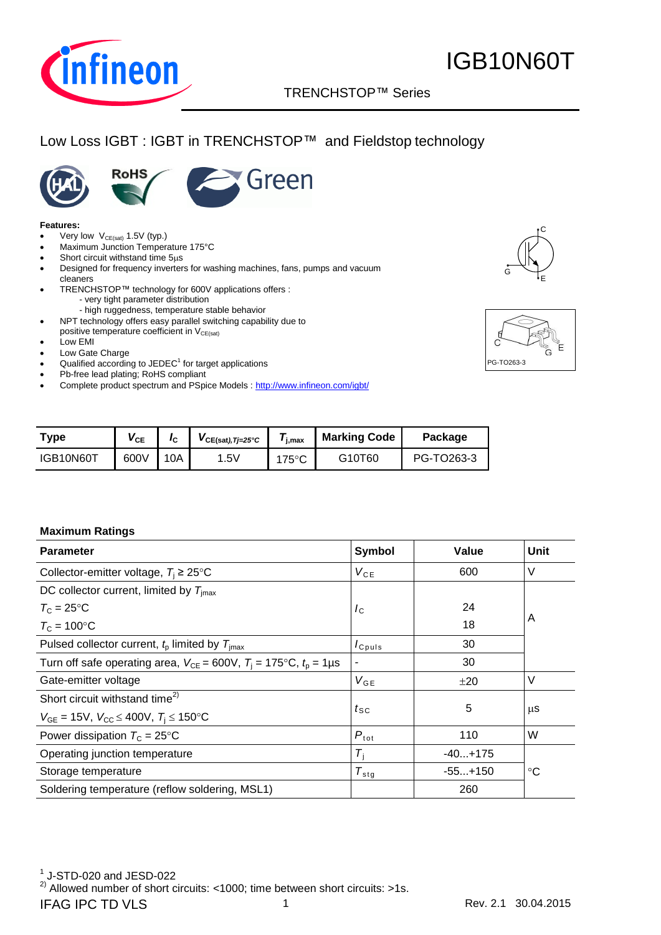

### TRENCHSTOP™ Series

## Low Loss IGBT : IGBT in TRENCHSTOP™ and Fieldstop technology





#### **Features:**

- Very low  $V_{CE(sat)}$  1.5V (typ.)
- Maximum Junction Temperature 175°C
- Short circuit withstand time  $5\mu s$
- Designed for frequency inverters for washing machines, fans, pumps and vacuum cleaners
- TRENCHSTOP™ technology for 600V applications offers : - very tight parameter distribution
- high ruggedness, temperature stable behavior NPT technology offers easy parallel switching capability due to
- positive temperature coefficient in  $V_{CE(sat)}$
- Low EMI
- Low Gate Charge
- $\bullet$  Qualified according to JEDEC<sup>1</sup> for target applications
- Pb-free lead plating; RoHS compliant
- Complete product spectrum and PSpice Models : <http://www.infineon.com/igbt/>





| Type      | $\mathsf{V}_{\mathsf{CE}}$ |     | $VCE(sat), T=25^{\circ}C$ | $\bm{I}_{\text{j,max}}$ | <b>Marking Code</b> | Package    |
|-----------|----------------------------|-----|---------------------------|-------------------------|---------------------|------------|
| IGB10N60T | 600V                       | ۱0A | .5V                       | 175°C                   | G10T60              | PG-TO263-3 |

#### **Maximum Ratings**

| <b>Parameter</b>                                                                | Symbol                        | Value     | <b>Unit</b> |
|---------------------------------------------------------------------------------|-------------------------------|-----------|-------------|
| Collector-emitter voltage, $T_i \geq 25^{\circ}$ C                              | $V_{CE}$                      | 600       | $\vee$      |
| DC collector current, limited by $T_{\text{imax}}$                              |                               |           |             |
| $T_c = 25$ °C                                                                   | $I_{\rm C}$                   | 24        |             |
| $T_c = 100$ °C                                                                  |                               | 18        | A           |
| Pulsed collector current, $t_0$ limited by $T_{\text{imax}}$                    | $I_{C^{puls}}$                | 30        |             |
| Turn off safe operating area, $V_{CE} = 600V$ , $T_i = 175$ °C, $t_0 = 1 \mu s$ |                               | 30        |             |
| Gate-emitter voltage                                                            | $V_{GE}$                      | ±20       | V           |
| Short circuit withstand time <sup>2)</sup>                                      |                               |           |             |
| $V_{GE}$ = 15V, $V_{CC}$ $\leq$ 400V, $T_i$ $\leq$ 150°C                        | $t_{\scriptstyle\textrm{SC}}$ | 5         | μS          |
| Power dissipation $T_c = 25^{\circ}$ C                                          | $P_{\text{tot}}$              | 110       | W           |
| Operating junction temperature                                                  | $T_i$                         | $-40+175$ |             |
| Storage temperature                                                             | $T_{\text{stg}}$              | $-55+150$ | $^{\circ}C$ |
| Soldering temperature (reflow soldering, MSL1)                                  |                               | 260       |             |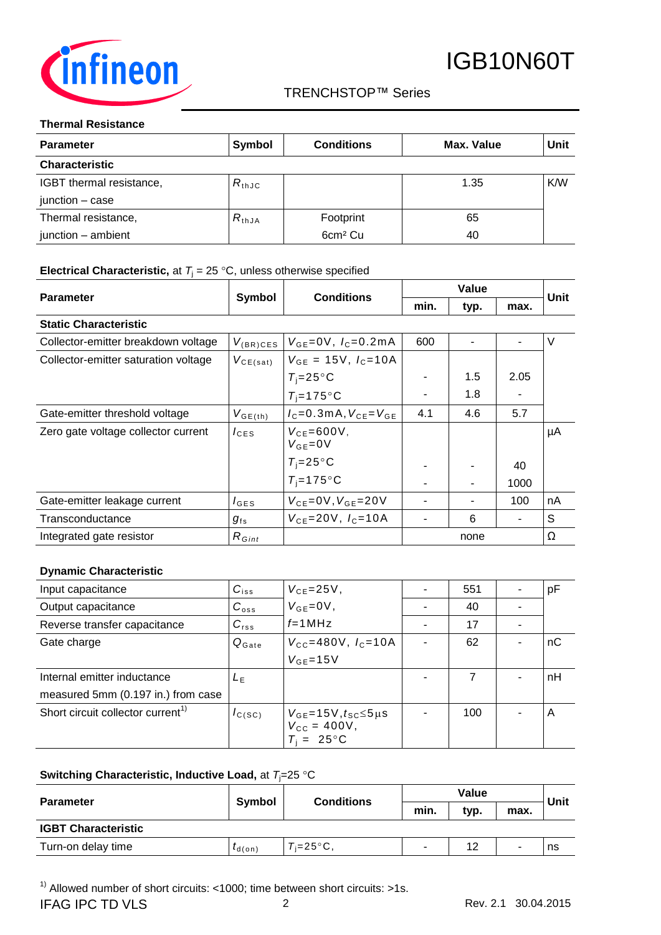

#### TRENCHSTOP™ Series

#### **Thermal Resistance**

| <b>Parameter</b>         | <b>Symbol</b> | <b>Conditions</b>   | Max. Value | Unit |
|--------------------------|---------------|---------------------|------------|------|
| <b>Characteristic</b>    |               |                     |            |      |
| IGBT thermal resistance, | $R_{thJC}$    |                     | 1.35       | K/W  |
| junction - case          |               |                     |            |      |
| Thermal resistance,      | $R_{thJA}$    | Footprint           | 65         |      |
| junction - ambient       |               | 6cm <sup>2</sup> Cu | 40         |      |

#### **Electrical Characteristic,** at  $T_j = 25 \text{ °C}$ , unless otherwise specified

| <b>Parameter</b>                     |                  | <b>Conditions</b>                  | Value |      |      | Unit   |
|--------------------------------------|------------------|------------------------------------|-------|------|------|--------|
|                                      | Symbol           |                                    | min.  | typ. | max. |        |
| <b>Static Characteristic</b>         |                  |                                    |       |      |      |        |
| Collector-emitter breakdown voltage  | $V_{(BR)CES}$    | $V_{GE} = 0V$ , $I_C = 0.2mA$      | 600   |      |      | $\vee$ |
| Collector-emitter saturation voltage | $V_{CE(sat)}$    | $V_{GE}$ = 15V, $I_C$ =10A         |       |      |      |        |
|                                      |                  | $T_i = 25^{\circ}C$                |       | 1.5  | 2.05 |        |
|                                      |                  | $T_i = 175$ °C                     |       | 1.8  |      |        |
| Gate-emitter threshold voltage       | $V_{GE(th)}$     | $I_c = 0.3$ m A, $V_{cF} = V_{cF}$ | 4.1   | 4.6  | 5.7  |        |
| Zero gate voltage collector current  | $I_{CES}$        | $V_{CF} = 600V,$<br>$V_{GF} = 0V$  |       |      |      | μA     |
|                                      |                  | $T_i = 25^{\circ}C$                |       |      | 40   |        |
|                                      |                  | $T_i = 175$ °C                     |       |      | 1000 |        |
| Gate-emitter leakage current         | $I_{\text{GES}}$ | $V_{CE} = 0V, V_{GE} = 20V$        |       |      | 100  | nA     |
| Transconductance                     | $g_{\rm fs}$     | $V_{CF} = 20V, I_C = 10A$          |       | 6    |      | S      |
| Integrated gate resistor             | $R_{Gint}$       |                                    |       | none |      | Ω      |

#### **Dynamic Characteristic**

| Input capacitance                             | $C_{iss}$           | $V_{CE} = 25V$ ,                                                            | 551 | pF |
|-----------------------------------------------|---------------------|-----------------------------------------------------------------------------|-----|----|
| Output capacitance                            | $C_{\text{oss}}$    | $V_{GE} = 0V$ ,                                                             | 40  |    |
| Reverse transfer capacitance                  | $C_{rss}$           | $f=1$ MHz                                                                   | 17  |    |
| Gate charge                                   | $Q_{\mathsf{Gate}}$ | $V_{\text{CC}} = 480 \text{V}$ , $I_{\text{C}} = 10 \text{A}$               | 62  | nC |
|                                               |                     | $V_{GF}$ =15V                                                               |     |    |
| Internal emitter inductance                   | L <sub>F</sub>      |                                                                             | 7   | nH |
| measured 5mm (0.197 in.) from case            |                     |                                                                             |     |    |
| Short circuit collector current <sup>1)</sup> | $I_{C(SC)}$         | $V_{GE}$ =15V, $t_{SC}$ ≤5µs<br>$V_{\rm CC} = 400V,$<br>$T_i = 25^{\circ}C$ | 100 | A  |

#### **Switching Characteristic, Inductive Load, at**  $T_i=25$  **°C**

| <b>Parameter</b>           | <b>Conditions</b><br>Symbol |                       | Value |      |      |      |
|----------------------------|-----------------------------|-----------------------|-------|------|------|------|
|                            |                             |                       | min.  | typ. | max. | Unit |
| <b>IGBT Characteristic</b> |                             |                       |       |      |      |      |
| Turn-on delay time         | $I_{d(on)}$                 | $T_i = 25^{\circ}C$ . |       | 12   | ۰    | ns   |

 $1)$  Allowed number of short circuits: <1000; time between short circuits: >1s.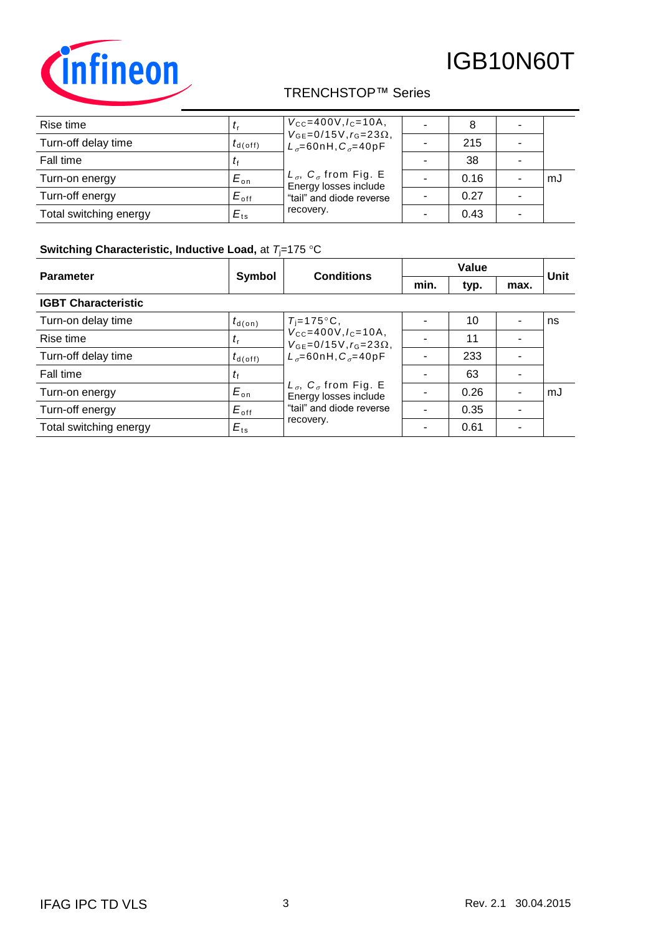

## TRENCHSTOP™ Series

| Rise time              |                     | $V_{\rm CC} = 400V, I_{\rm C} = 10A$<br>$V_{GE} = 0/15V, r_G = 23\Omega,$ |      |    |
|------------------------|---------------------|---------------------------------------------------------------------------|------|----|
| Turn-off delay time    | $t_{d(\text{off})}$ | $L_{\sigma}$ =60nH, $C_{\sigma}$ =40pF                                    | 215  |    |
| Fall time              |                     |                                                                           | 38   |    |
| Turn-on energy         | $E_{\rm on}$        | $L_{\sigma}$ , $C_{\sigma}$ from Fig. E<br>Energy losses include          | 0.16 | mJ |
| Turn-off energy        | $E_{\text{off}}$    | "tail" and diode reverse                                                  | 0.27 |    |
| Total switching energy | $E_{ts}$            | recovery.                                                                 | 0.43 |    |

### **Switching Characteristic, Inductive Load, at**  $T_j$ **=175 °C**

| <b>Parameter</b>           | <b>Conditions</b><br>Symbol |                                                                                  | Value |      |      | Unit |
|----------------------------|-----------------------------|----------------------------------------------------------------------------------|-------|------|------|------|
|                            |                             |                                                                                  | min.  | typ. | max. |      |
| <b>IGBT Characteristic</b> |                             |                                                                                  |       |      |      |      |
| Turn-on delay time         | $t_{\text{d}(on)}$          | $T_i = 175$ °C,                                                                  |       | 10   |      | ns   |
| Rise time                  | $t_{\rm r}$                 | $V_{\text{CC}} = 400V, I_{\text{C}} = 10A,$<br>$V_{GE} = 0/15V, r_G = 23\Omega,$ |       | 11   |      |      |
| Turn-off delay time        | $t_{d(\text{off})}$         | $L_{\sigma} = 60$ nH, $C_{\sigma} = 40$ pF                                       |       | 233  |      |      |
| Fall time                  | $t_{\rm f}$                 |                                                                                  |       | 63   |      |      |
| Turn-on energy             | $E_{\text{on}}$             | $L_{\sigma}$ , $C_{\sigma}$ from Fig. E<br>Energy losses include                 |       | 0.26 |      | mJ   |
| Turn-off energy            | $E_{\text{off}}$            | "tail" and diode reverse                                                         |       | 0.35 |      |      |
| Total switching energy     | $E_{ts}$                    | recovery.                                                                        |       | 0.61 | ۰    |      |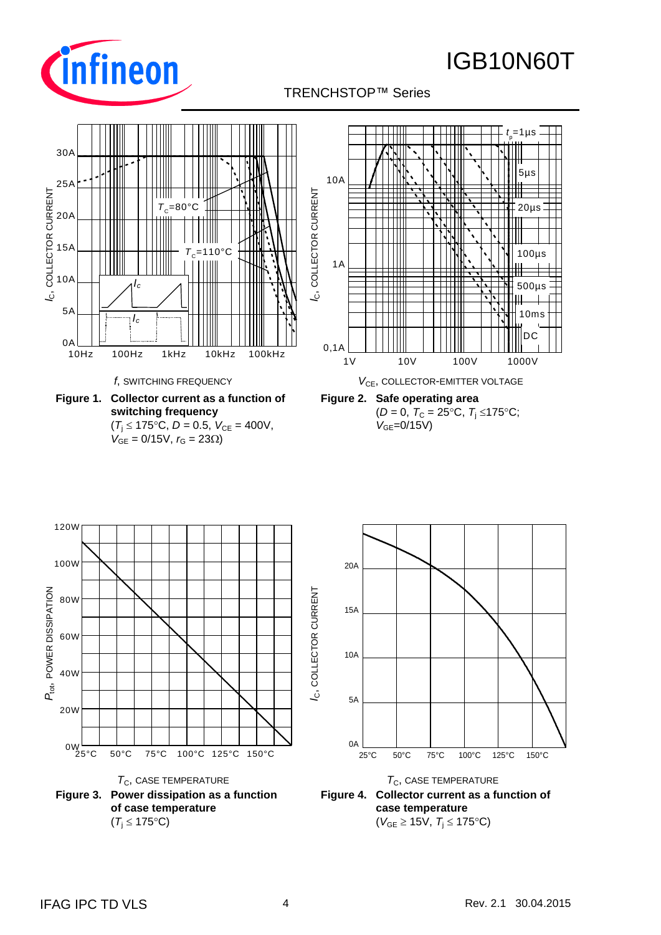

#### TRENCHSTOP™ Series p

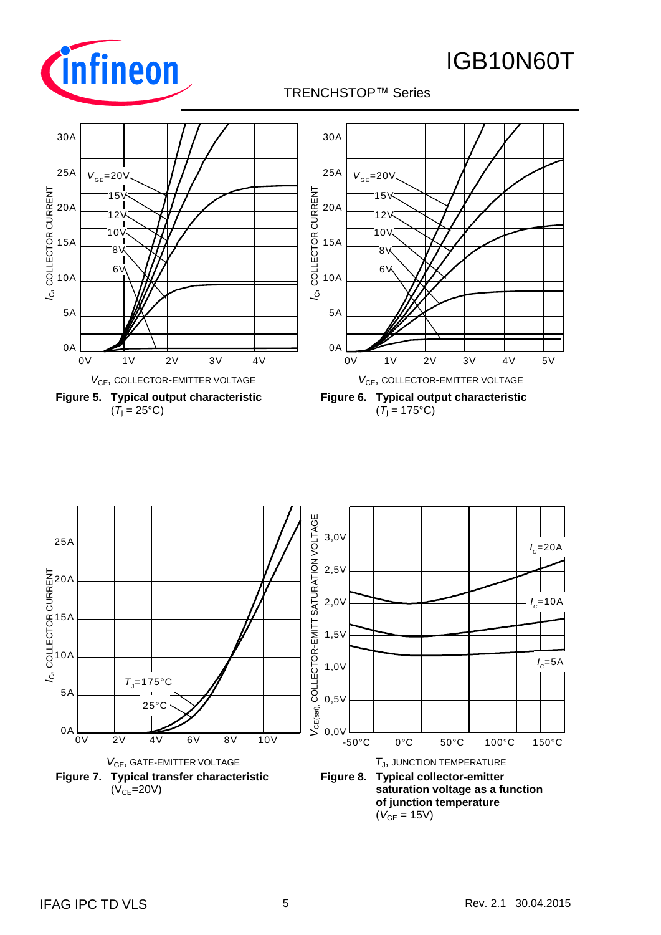

### TRENCHSTOP™ Series



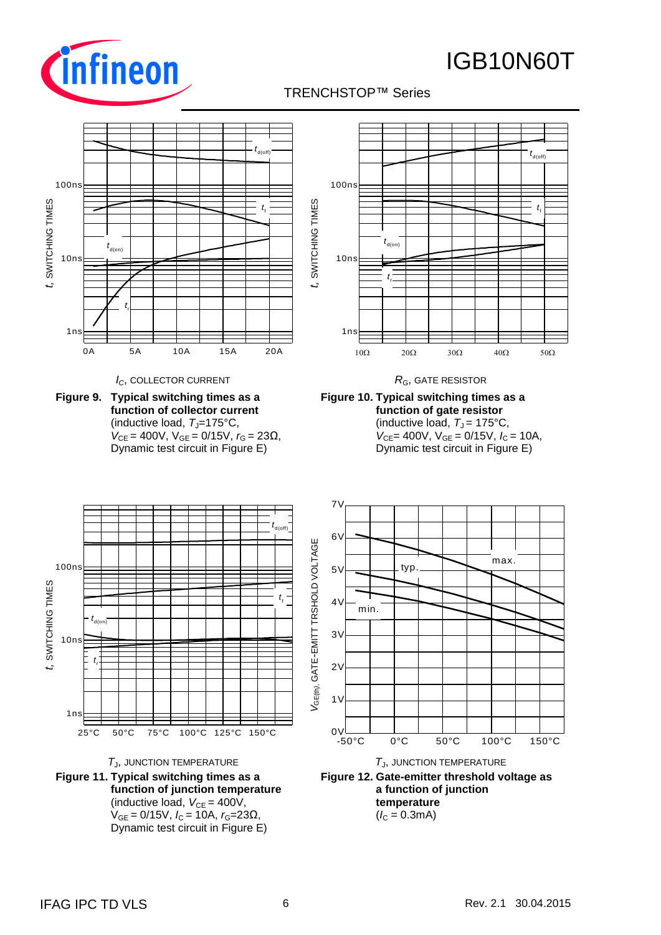



### TRENCHSTOP™ Series p

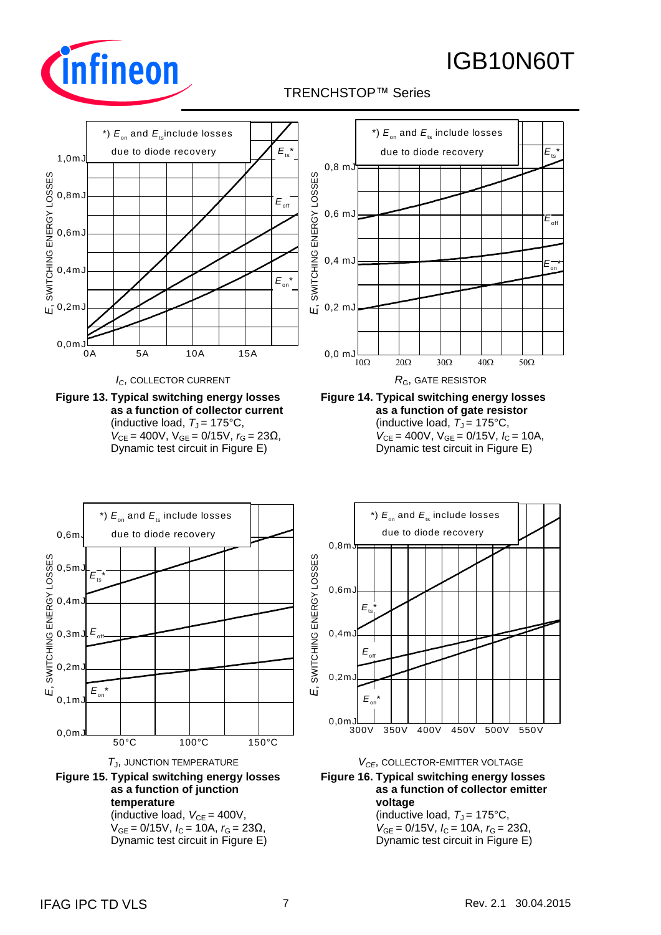

### TRENCHSTOP™ Series p



**Figure 15. Typical switching energy losses as a function of junction temperature** (inductive load,  $V_{CE} = 400V$ ,

50°C 100°C 150°C

 $V_{GE} = 0/15V$ ,  $I_C = 10A$ ,  $r_G = 23Ω$ , Dynamic test circuit in Figure E)



300V 350V 400V 450V 500V 550V

(inductive load,  $T_J = 175$ °C,  $V_{GE} = 0/15V$ ,  $I_C = 10A$ ,  $r_G = 23Ω$ , Dynamic test circuit in Figure E)

0,0mJ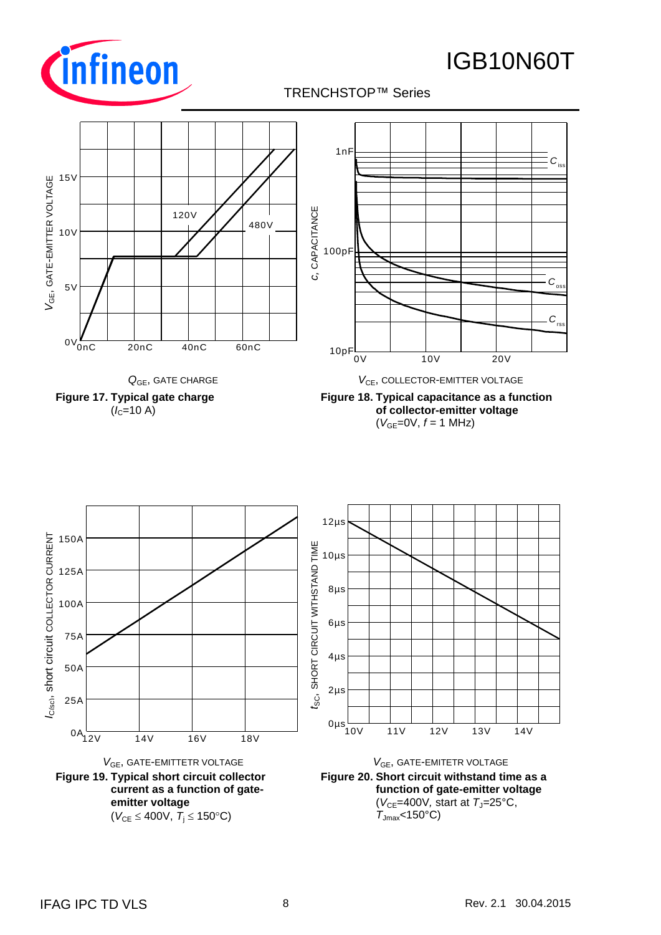

### TRENCHSTOP™ Series







10V 11V 12V 13V 14V 0µs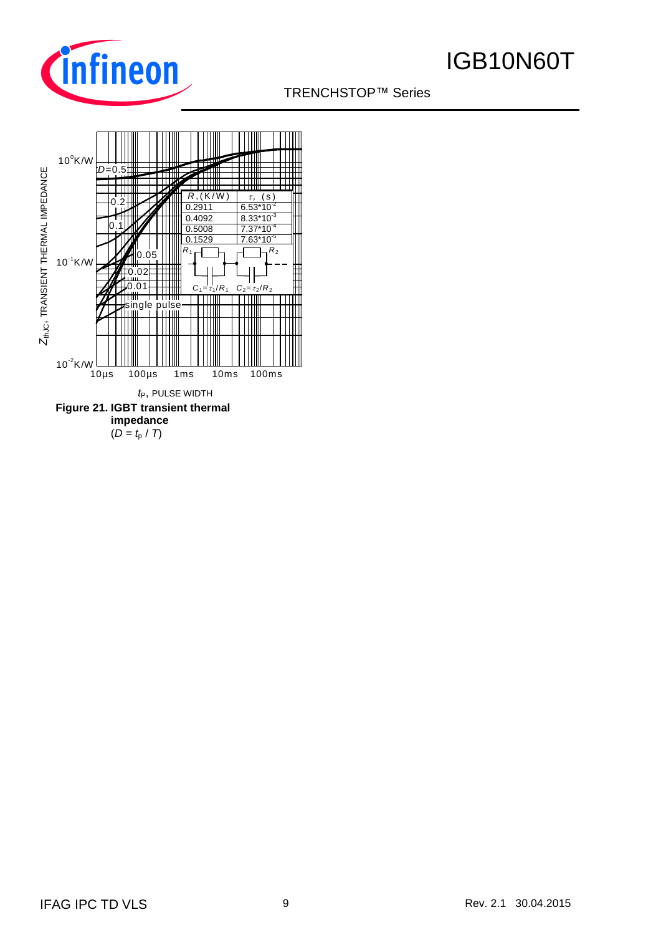

### TRENCHSTOP™ Series

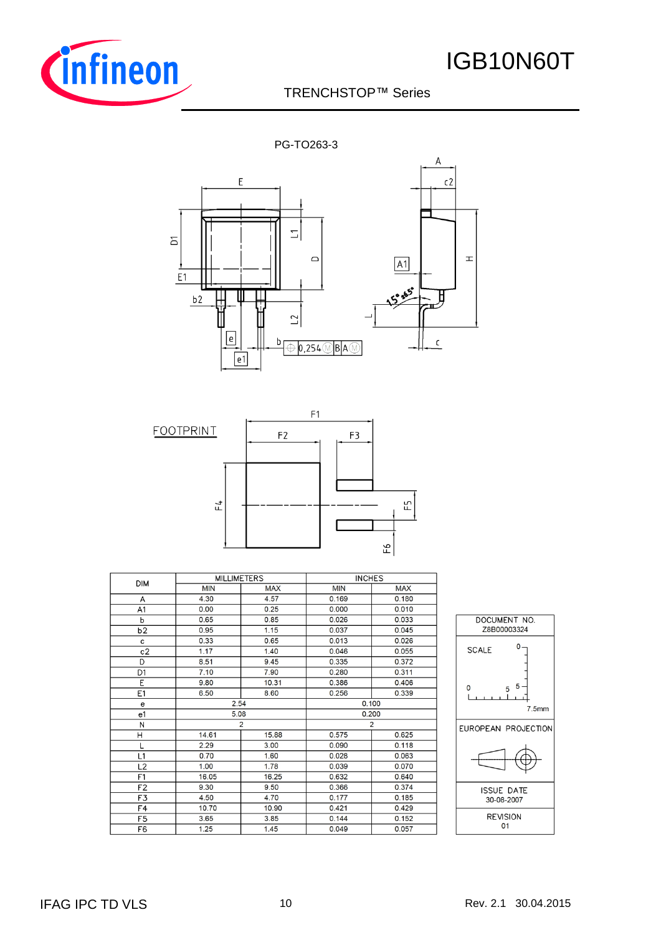

### TRENCHSTOP™ Series

PG-TO263-3





| <b>DIM</b>     | <b>MILLIMETERS</b> |                | <b>INCHES</b> |            |                     |
|----------------|--------------------|----------------|---------------|------------|---------------------|
|                | <b>MIN</b>         | <b>MAX</b>     | <b>MIN</b>    | <b>MAX</b> |                     |
| A              | 4.30               | 4.57           | 0.169         | 0.180      |                     |
| A1             | 0.00               | 0.25           | 0.000         | 0.010      |                     |
| ь              | 0.65               | 0.85           | 0.026         | 0.033      | DOCUMENT NO.        |
| b <sub>2</sub> | 0.95               | 1.15           | 0.037         | 0.045      | Z8B00003324         |
| c              | 0.33               | 0.65           | 0.013         | 0.026      | $0 -$               |
| c2             | 1.17               | 1.40           | 0.046         | 0.055      | <b>SCALE</b>        |
| D              | 8.51               | 9.45           | 0.335         | 0.372      |                     |
| D <sub>1</sub> | 7.10               | 7.90           | 0.280         | 0.311      |                     |
| E              | 9.80               | 10.31          | 0.386         | 0.406      | 5.<br>0             |
| E1             | 6.50               | 8.60           | 0.256         | 0.339      | 5                   |
| е              | 2.54               |                |               | 0.100      | 7.5mm               |
| e1             | 5.08               |                |               | 0.200      |                     |
| N              |                    | $\overline{2}$ |               | 2          | EUROPEAN PROJECTION |
| Η              | 14.61              | 15.88          | 0.575         | 0.625      |                     |
|                | 2.29               | 3.00           | 0.090         | 0.118      |                     |
| L1             | 0.70               | 1.60           | 0.028         | 0.063      |                     |
| L2             | 1.00               | 1.78           | 0.039         | 0.070      |                     |
| F1             | 16.05              | 16.25          | 0.632         | 0.640      |                     |
| F <sub>2</sub> | 9.30               | 9.50           | 0.366         | 0.374      | <b>ISSUE DATE</b>   |
| F3             | 4.50               | 4.70           | 0.177         | 0.185      | 30-08-2007          |
| F <sub>4</sub> | 10.70              | 10.90          | 0.421         | 0.429      |                     |
| F <sub>5</sub> | 3.65               | 3.85           | 0.144         | 0.152      | <b>REVISION</b>     |
| F6             | 1.25               | 1.45           | 0.049         | 0.057      | 01                  |
|                |                    |                |               |            |                     |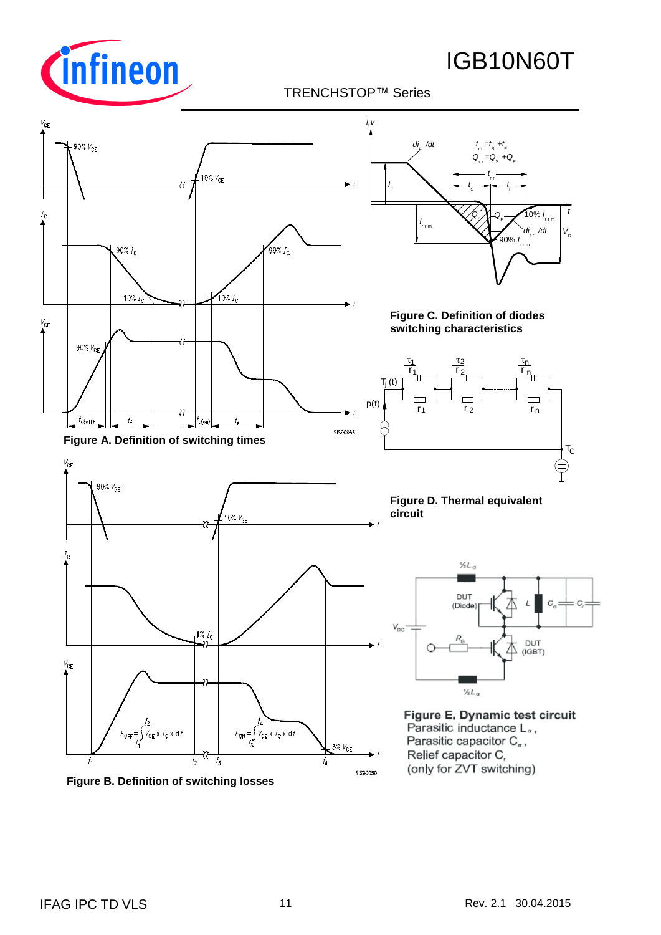

### TRENCHSTOP™ Series



**Figure B. Definition of switching losses**